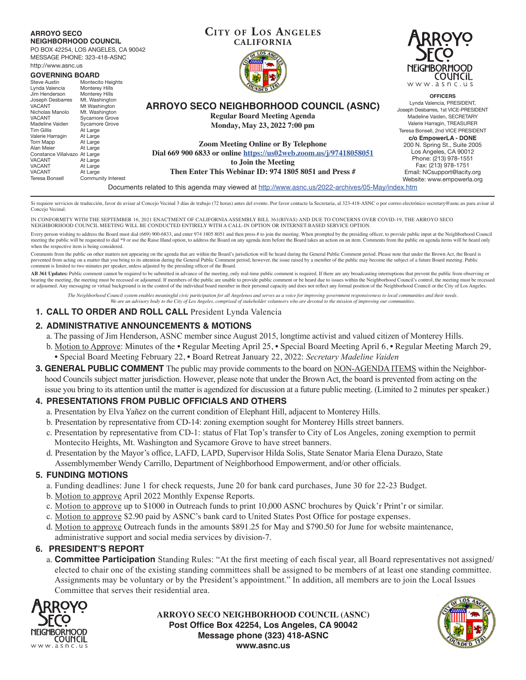#### **ARROYO SECO NEIGHBORHOOD COUNCIL**

PO BOX 42254, LOS ANGELES, CA 90042 MESSAGE PHONE: 323-418-ASNC

| http://www.asnc.us                                                                                 | <b>NE</b>        |
|----------------------------------------------------------------------------------------------------|------------------|
| <b>GOVERNING BOARD</b>                                                                             |                  |
| Montecito Heights<br><b>Steve Austin</b>                                                           | W <sub>1</sub>   |
| Lynda Valencia<br>Monterey Hills                                                                   |                  |
| Jim Henderson<br>Monterey Hills                                                                    |                  |
| Joseph Desbarres<br>Mt. Washington                                                                 | Lyr              |
| ARROYO SECO NEIGHBORHOOD COUNCIL (ASNC)<br><b>VACANT</b><br>Mt Washington                          | Joseph D         |
| Nicholas Manolo<br>Mt. Washington<br><b>Regular Board Meeting Agenda</b>                           | Mac              |
| Sycamore Grove<br><b>VACANT</b>                                                                    |                  |
| Madeline Vaiden<br>Sycamore Grove<br>Monday, May 23, 2022 7:00 pm                                  | Vale             |
| <b>Tim Gillis</b><br>At Large                                                                      | Teresa B         |
| Valerie Harragin<br>At Large                                                                       | c/o              |
| Tom Mapp<br>At Large<br><b>Zoom Meeting Online or By Telephone</b>                                 | 200 <sub>1</sub> |
| Alan Meier<br>At Large                                                                             |                  |
| Dial 669 900 6833 or online https://us02web.zoom.us/i/97418058051<br>Constance Villalvazo At Large | Lc               |
| <b>VACANT</b><br>At Large<br>to Join the Meeting                                                   | P                |
| <b>VACANT</b><br>At Large                                                                          |                  |
| Then Enter This Webinar ID: 974 1805 8051 and Press #<br><b>VACANT</b><br>At Large                 | Ema              |
| Teresa Bonsell<br>Community Interest                                                               | Webs             |
| Documents related to this agenda may viewed at http://www.asnc.us/2022-archives/05-May/index.htm   |                  |

Si requiere servicios de traducción, favor de avisar al Concejo Vecinal 3 días de trabajo (72 horas) antes del evento. Por favor contacte la Secretaria, al 323-418-ASNC o por correo electrónico secretary@asnc.us para avisa Concejo Vecinal.

IN CONFORMITY WITH THE SEPTEMBER 16, 2021 ENACTMENT OF CALIFORNIA ASSEMBLY BILL 361(RIVAS) AND DUE TO CONCERNS OVER COVID-19, THE ARROYO SECO NEIGHBORHOOD COUNCIL MEETING WILL BE CONDUCTED ENTIRELY WITH A CALL-IN OPTION OR INTERNET-BASED SERVICE OPTION.

Every person wishing to address the Board must dial (669) 900-6833, and enter 974 1805 8051 and then press # to join the meeting. When prompted by the presiding officer, to provide public input at the Neighborhood Council meeting the public will be requested to dial \*9 or use the Raise Hand option, to address the Board on any agenda item before the Board takes an action on an item. Comments from the public on agenda items will be heard only when the respective item is being considered.

Comments from the public on other matters not appearing on the agenda that are within the Board's jurisdiction will be heard during the General Public Comment period. Please note that under the Brown Act, the Board is prevented from acting on a matter that you bring to its attention during the General Public Comment period; however, the issue raised by a member of the public may become the subject of a future Board meeting. Public comment is limited to two minutes per speaker, unless adjusted by the presiding officer of the Board.

AB 361 Updates: Public comment cannot be required to be submitted in advance of the meeting, only real-time public comment is required. If there are any broadcasting interruptions that prevent the public from observing or hearing the meeting, the meeting must be recessed or adjourned. If members of the public are unable to provide public comment or be heard due to issues within the Neighborhood Council's control, the meeting must be recesse or adjourned. Any messaging or virtual background is in the control of the individual board member in their personal capacity and does not reflect any formal position of the Neighborhood Council or the City of Los Angeles.

*The Neighborhood Council system enables meaningful civic participation for all Angelenos and serves as a voice for improving government responsiveness to local communities and their needs. We are an advisory body to the City of Los Angeles, comprised of stakeholder volunteers who are devoted to the mission of improving our communities.*

### **1. CALL TO ORDER AND ROLL CALL** President Lynda Valencia

# **2. ADMINISTRATIVE ANNOUNCEMENTS & MOTIONS**

- a. The passing of Jim Henderson, ASNC member since August 2015, longtime activist and valued citizen of Monterey Hills.
- b. Motion to Approve: Minutes of the Regular Meeting April 25, Special Board Meeting April 6, Regular Meeting March 29, • Special Board Meeting February 22, • Board Retreat January 22, 2022: *Secretary Madeline Vaiden*
- **3. GENERAL PUBLIC COMMENT** The public may provide comments to the board on NON-AGENDA ITEMS within the Neighborhood Councils subject matter jurisdiction. However, please note that under the Brown Act, the board is prevented from acting on the issue you bring to its attention until the matter is agendized for discussion at a future public meeting. (Limited to 2 minutes per speaker.)

## **4. PRESENTATIONS FROM PUBLIC OFFICIALS AND OTHERS**

- a. Presentation by Elva Yañez on the current condition of Elephant Hill, adjacent to Monterey Hills.
- b. Presentation by representative from CD-14: zoning exemption sought for Monterey Hills street banners.
- c. Presentation by representative from CD-1: status of Flat Top's transfer to City of Los Angeles, zoning exemption to permit Montecito Heights, Mt. Washington and Sycamore Grove to have street banners.
- d. Presentation by the Mayor's office, LAFD, LAPD, Supervisor Hilda Solis, State Senator Maria Elena Durazo, State Assemblymember Wendy Carrillo, Department of Neighborhood Empowerment, and/or other officials.

## **5. FUNDING MOTIONS**

- a. Funding deadlines: June 1 for check requests, June 20 for bank card purchases, June 30 for 22-23 Budget.
- b. Motion to approve April 2022 Monthly Expense Reports.
- c. Motion to approve up to \$1000 in Outreach funds to print 10,000 ASNC brochures by Quick'r Print'r or similar.
- c. Motion to approve \$2.90 paid by ASNC's bank card to United States Post Office for postage expenses.
- d. Motion to approve Outreach funds in the amounts \$891.25 for May and \$790.50 for June for website maintenance, administrative support and social media services by division-7.

## **6. PRESIDENT'S REPORT**

a. **Committee Participation** Standing Rules: "At the first meeting of each fiscal year, all Board representatives not assigned/ elected to chair one of the existing standing committees shall be assigned to be members of at least one standing committee. Assignments may be voluntary or by the President's appointment." In addition, all members are to join the Local Issues Committee that serves their residential area.



**ARROYO SECO NEIGHBORHOOD COUNCIL (ASNC) Post Office Box 42254, Los Angeles, CA 90042 Message phone (323) 418-ASNC www.asnc.us**





**OFFICERS** Lynda Valencia, PRESIDENT, seph Desbarres, 1st VICE-PRESIDENT Madeline Vaiden, SECRETARY Valerie Harragin, TREASURER resa Bonsell, 2nd VICE PRESIDENT **c/o EmpowerLA - DONE** 200 N. Spring St., Suite 2005 Los Angeles, CA 90012 Phone: (213) 978-1551 Fax: (213) 978-1751 Email: NCsupport@lacity.org Website: www.empowerla.org

**CITY OF LOS ANGELES CALIFORNIA**